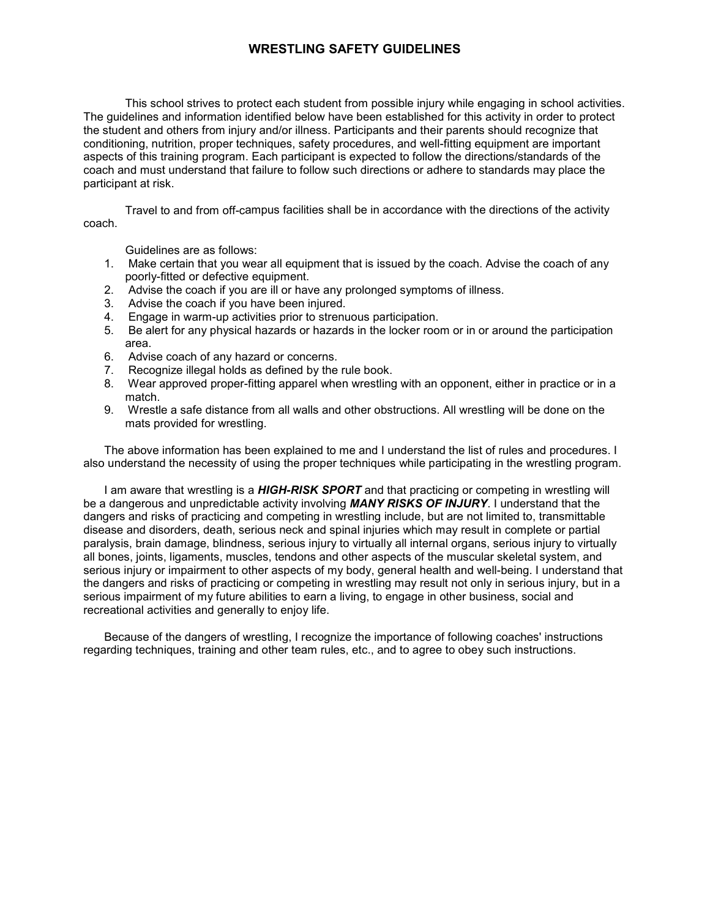## **WRESTLING SAFETY GUIDELINES**

This school strives to protect each student from possible injury while engaging in school activities. The guidelines and information identified below have been established for this activity in order to protect the student and others from injury and/or illness. Participants and their parents should recognize that conditioning, nutrition, proper techniques, safety procedures, and well-fitting equipment are important aspects of this training program. Each participant is expected to follow the directions/standards of the coach and must understand that failure to follow such directions or adhere to standards may place the participant at risk.

Travel to and from off-campus facilities shall be in accordance with the directions of the activity coach.

Guidelines are as follows:

- 1. Make certain that you wear all equipment that is issued by the coach. Advise the coach of any poorly-fitted or defective equipment.
- 2. Advise the coach if you are ill or have any prolonged symptoms of illness.
- 3. Advise the coach if you have been injured.
- 4. Engage in warm-up activities prior to strenuous participation.
- 5. Be alert for any physical hazards or hazards in the locker room or in or around the participation area.
- 6. Advise coach of any hazard or concerns.
- 7. Recognize illegal holds as defined by the rule book.
- 8. Wear approved proper-fitting apparel when wrestling with an opponent, either in practice or in a match.
- 9. Wrestle a safe distance from all walls and other obstructions. All wrestling will be done on the mats provided for wrestling.

The above information has been explained to me and I understand the list of rules and procedures. I also understand the necessity of using the proper techniques while participating in the wrestling program.

I am aware that wrestling is a *HIGH-RISK SPORT* and that practicing or competing in wrestling will be a dangerous and unpredictable activity involving *MANY RISKS OF INJURY*. I understand that the dangers and risks of practicing and competing in wrestling include, but are not limited to, transmittable disease and disorders, death, serious neck and spinal injuries which may result in complete or partial paralysis, brain damage, blindness, serious injury to virtually all internal organs, serious injury to virtually all bones, joints, ligaments, muscles, tendons and other aspects of the muscular skeletal system, and serious injury or impairment to other aspects of my body, general health and well-being. I understand that the dangers and risks of practicing or competing in wrestling may result not only in serious injury, but in a serious impairment of my future abilities to earn a living, to engage in other business, social and recreational activities and generally to enjoy life.

Because of the dangers of wrestling, I recognize the importance of following coaches' instructions regarding techniques, training and other team rules, etc., and to agree to obey such instructions.